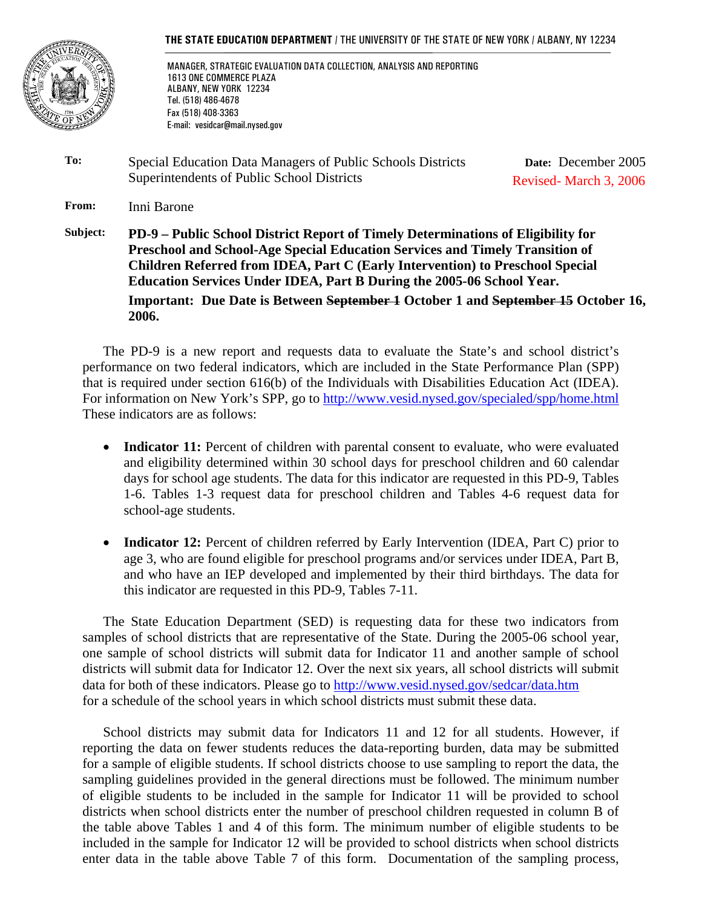#### **THE STATE EDUCATION DEPARTMENT** / THE UNIVERSITY OF THE STATE OF NEW YORK / ALBANY, NY 12234



 MANAGER, STRATEGIC EVALUATION DATA COLLECTION, ANALYSIS AND REPORTING 1613 ONE COMMERCE PLAZA ALBANY, NEW YORK 12234 Tel. (518) 486-4678 Fax (518) 408-3363 E-mail: vesidcar@mail.nysed.gov

**To:** Special Education Data Managers of Public Schools Districts Superintendents of Public School Districts **Date:** December 2005 Revised- March 3, 2006

**From:** Inni Barone

**Subject: PD-9 – Public School District Report of Timely Determinations of Eligibility for Preschool and School-Age Special Education Services and Timely Transition of Children Referred from IDEA, Part C (Early Intervention) to Preschool Special Education Services Under IDEA, Part B During the 2005-06 School Year. Important: Due Date is Between September 1 October 1 and September 15 October 16, 2006.**

The PD-9 is a new report and requests data to evaluate the State's and school district's performance on two federal indicators, which are included in the State Performance Plan (SPP) that is required under section 616(b) of the Individuals with Disabilities Education Act (IDEA). For information on New York's SPP, go to http://www.vesid.nysed.gov/specialed/spp/home.html These indicators are as follows:

- **Indicator 11:** Percent of children with parental consent to evaluate, who were evaluated and eligibility determined within 30 school days for preschool children and 60 calendar days for school age students. The data for this indicator are requested in this PD-9, Tables 1-6. Tables 1-3 request data for preschool children and Tables 4-6 request data for school-age students.
- **Indicator 12:** Percent of children referred by Early Intervention (IDEA, Part C) prior to age 3, who are found eligible for preschool programs and/or services under IDEA, Part B, and who have an IEP developed and implemented by their third birthdays. The data for this indicator are requested in this PD-9, Tables 7-11.

The State Education Department (SED) is requesting data for these two indicators from samples of school districts that are representative of the State. During the 2005-06 school year, one sample of school districts will submit data for Indicator 11 and another sample of school districts will submit data for Indicator 12. Over the next six years, all school districts will submit data for both of these indicators. Please go to http://www.vesid.nysed.gov/sedcar/data.htm for a schedule of the school years in which school districts must submit these data.

 School districts may submit data for Indicators 11 and 12 for all students. However, if reporting the data on fewer students reduces the data-reporting burden, data may be submitted for a sample of eligible students. If school districts choose to use sampling to report the data, the sampling guidelines provided in the general directions must be followed. The minimum number of eligible students to be included in the sample for Indicator 11 will be provided to school districts when school districts enter the number of preschool children requested in column B of the table above Tables 1 and 4 of this form. The minimum number of eligible students to be included in the sample for Indicator 12 will be provided to school districts when school districts enter data in the table above Table 7 of this form. Documentation of the sampling process,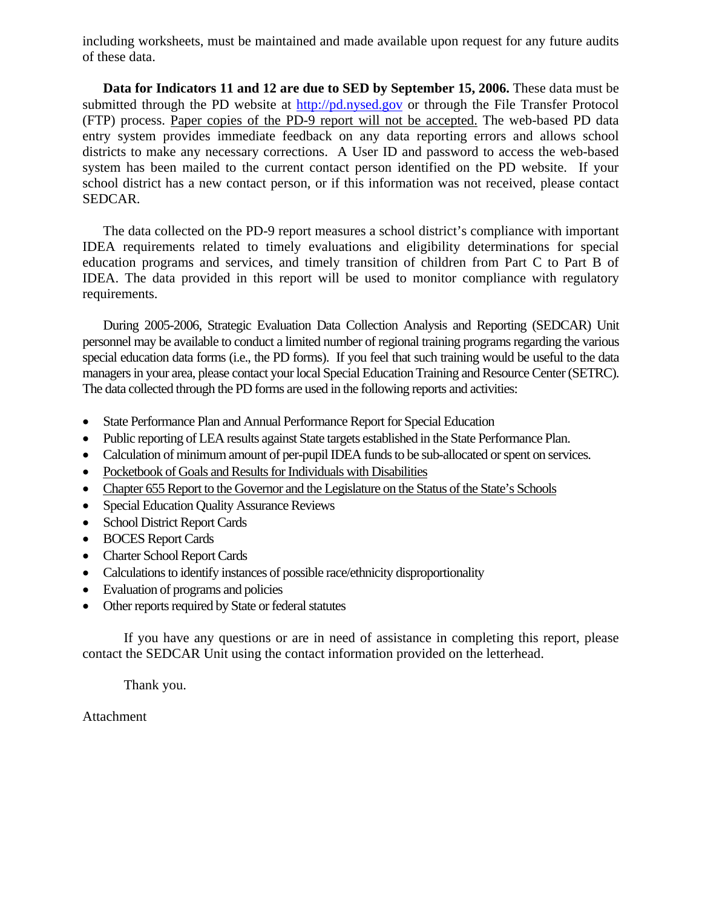including worksheets, must be maintained and made available upon request for any future audits of these data.

**Data for Indicators 11 and 12 are due to SED by September 15, 2006.** These data must be submitted through the PD website at http://pd.nysed.gov or through the File Transfer Protocol (FTP) process. Paper copies of the PD-9 report will not be accepted. The web-based PD data entry system provides immediate feedback on any data reporting errors and allows school districts to make any necessary corrections. A User ID and password to access the web-based system has been mailed to the current contact person identified on the PD website. If your school district has a new contact person, or if this information was not received, please contact SEDCAR.

The data collected on the PD-9 report measures a school district's compliance with important IDEA requirements related to timely evaluations and eligibility determinations for special education programs and services, and timely transition of children from Part C to Part B of IDEA. The data provided in this report will be used to monitor compliance with regulatory requirements.

During 2005-2006, Strategic Evaluation Data Collection Analysis and Reporting (SEDCAR) Unit personnel may be available to conduct a limited number of regional training programs regarding the various special education data forms (i.e., the PD forms). If you feel that such training would be useful to the data managers in your area, please contact your local Special Education Training and Resource Center (SETRC). The data collected through the PD forms are used in the following reports and activities:

- State Performance Plan and Annual Performance Report for Special Education
- Public reporting of LEA results against State targets established in the State Performance Plan.
- Calculation of minimum amount of per-pupil IDEA funds to be sub-allocated or spent on services.
- Pocketbook of Goals and Results for Individuals with Disabilities
- Chapter 655 Report to the Governor and the Legislature on the Status of the State's Schools
- Special Education Quality Assurance Reviews
- School District Report Cards
- BOCES Report Cards
- Charter School Report Cards
- Calculations to identify instances of possible race/ethnicity disproportionality
- Evaluation of programs and policies
- Other reports required by State or federal statutes

If you have any questions or are in need of assistance in completing this report, please contact the SEDCAR Unit using the contact information provided on the letterhead.

Thank you.

Attachment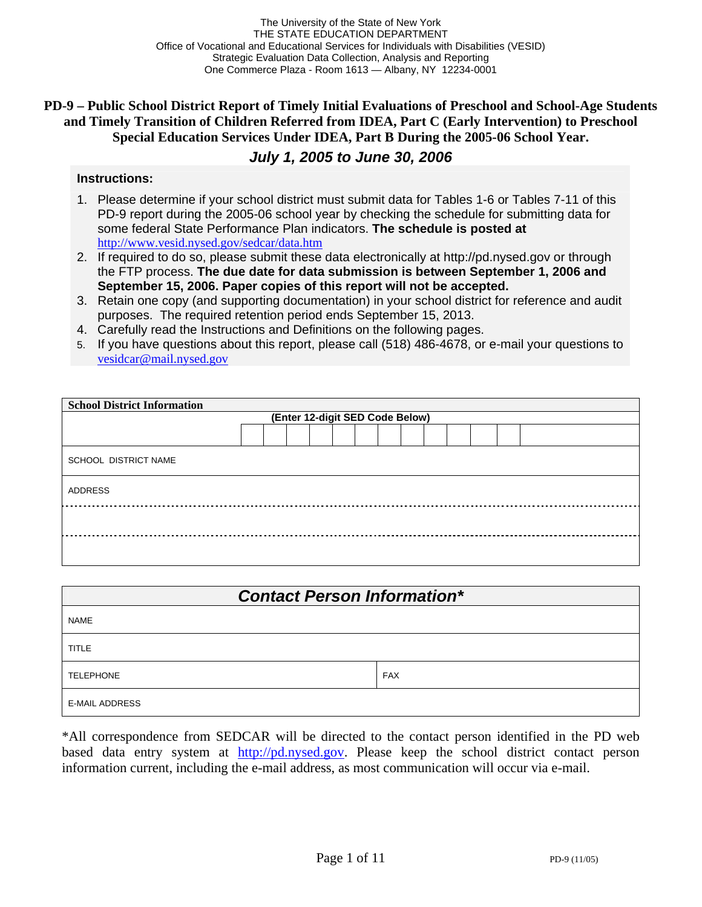The University of the State of New York THE STATE EDUCATION DEPARTMENT Office of Vocational and Educational Services for Individuals with Disabilities (VESID) Strategic Evaluation Data Collection, Analysis and Reporting One Commerce Plaza - Room 1613 — Albany, NY 12234-0001

# **PD-9 – Public School District Report of Timely Initial Evaluations of Preschool and School-Age Students and Timely Transition of Children Referred from IDEA, Part C (Early Intervention) to Preschool Special Education Services Under IDEA, Part B During the 2005-06 School Year.**

# *July 1, 2005 to June 30, 2006*

#### **Instructions:**

- 1. Please determine if your school district must submit data for Tables 1-6 or Tables 7-11 of this PD-9 report during the 2005-06 school year by checking the schedule for submitting data for some federal State Performance Plan indicators. **The schedule is posted at**  http://www.vesid.nysed.gov/sedcar/data.htm
- 2. If required to do so, please submit these data electronically at http://pd.nysed.gov or through the FTP process. **The due date for data submission is between September 1, 2006 and September 15, 2006. Paper copies of this report will not be accepted.**
- 3. Retain one copy (and supporting documentation) in your school district for reference and audit purposes. The required retention period ends September 15, 2013.
- 4. Carefully read the Instructions and Definitions on the following pages.
- 5. If you have questions about this report, please call (518) 486-4678, or e-mail your questions to vesidcar@mail.nysed.gov

| <b>School District Information</b> |                                 |  |  |  |  |  |  |  |  |  |  |  |
|------------------------------------|---------------------------------|--|--|--|--|--|--|--|--|--|--|--|
|                                    | (Enter 12-digit SED Code Below) |  |  |  |  |  |  |  |  |  |  |  |
|                                    |                                 |  |  |  |  |  |  |  |  |  |  |  |
| <b>SCHOOL DISTRICT NAME</b>        |                                 |  |  |  |  |  |  |  |  |  |  |  |
| ADDRESS                            |                                 |  |  |  |  |  |  |  |  |  |  |  |
|                                    |                                 |  |  |  |  |  |  |  |  |  |  |  |
|                                    |                                 |  |  |  |  |  |  |  |  |  |  |  |

| <b>Contact Person Information*</b> |            |  |  |  |  |  |
|------------------------------------|------------|--|--|--|--|--|
| <b>NAME</b>                        |            |  |  |  |  |  |
| <b>TITLE</b>                       |            |  |  |  |  |  |
| <b>TELEPHONE</b>                   | <b>FAX</b> |  |  |  |  |  |
| <b>E-MAIL ADDRESS</b>              |            |  |  |  |  |  |

\*All correspondence from SEDCAR will be directed to the contact person identified in the PD web based data entry system at http://pd.nysed.gov. Please keep the school district contact person information current, including the e-mail address, as most communication will occur via e-mail.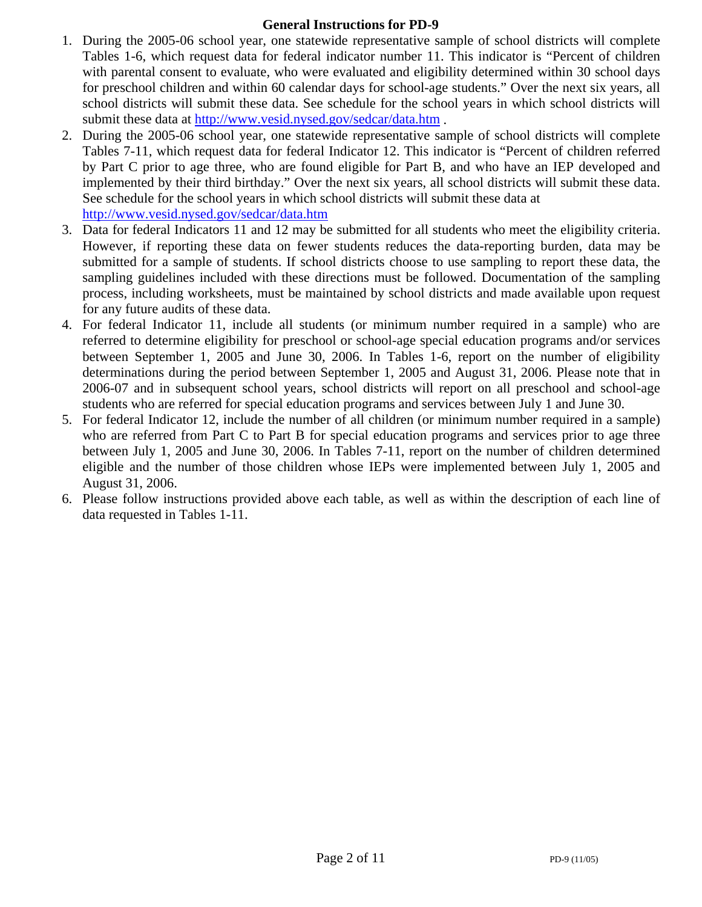# **General Instructions for PD-9**

- 1. During the 2005-06 school year, one statewide representative sample of school districts will complete Tables 1-6, which request data for federal indicator number 11. This indicator is "Percent of children with parental consent to evaluate, who were evaluated and eligibility determined within 30 school days for preschool children and within 60 calendar days for school-age students." Over the next six years, all school districts will submit these data. See schedule for the school years in which school districts will submit these data at http://www.vesid.nysed.gov/sedcar/data.htm .
- 2. During the 2005-06 school year, one statewide representative sample of school districts will complete Tables 7-11, which request data for federal Indicator 12. This indicator is "Percent of children referred by Part C prior to age three, who are found eligible for Part B, and who have an IEP developed and implemented by their third birthday." Over the next six years, all school districts will submit these data. See schedule for the school years in which school districts will submit these data at http://www.vesid.nysed.gov/sedcar/data.htm
- 3. Data for federal Indicators 11 and 12 may be submitted for all students who meet the eligibility criteria. However, if reporting these data on fewer students reduces the data-reporting burden, data may be submitted for a sample of students. If school districts choose to use sampling to report these data, the sampling guidelines included with these directions must be followed. Documentation of the sampling process, including worksheets, must be maintained by school districts and made available upon request for any future audits of these data.
- 4. For federal Indicator 11, include all students (or minimum number required in a sample) who are referred to determine eligibility for preschool or school-age special education programs and/or services between September 1, 2005 and June 30, 2006. In Tables 1-6, report on the number of eligibility determinations during the period between September 1, 2005 and August 31, 2006. Please note that in 2006-07 and in subsequent school years, school districts will report on all preschool and school-age students who are referred for special education programs and services between July 1 and June 30.
- 5. For federal Indicator 12, include the number of all children (or minimum number required in a sample) who are referred from Part C to Part B for special education programs and services prior to age three between July 1, 2005 and June 30, 2006. In Tables 7-11, report on the number of children determined eligible and the number of those children whose IEPs were implemented between July 1, 2005 and August 31, 2006.
- 6. Please follow instructions provided above each table, as well as within the description of each line of data requested in Tables 1-11.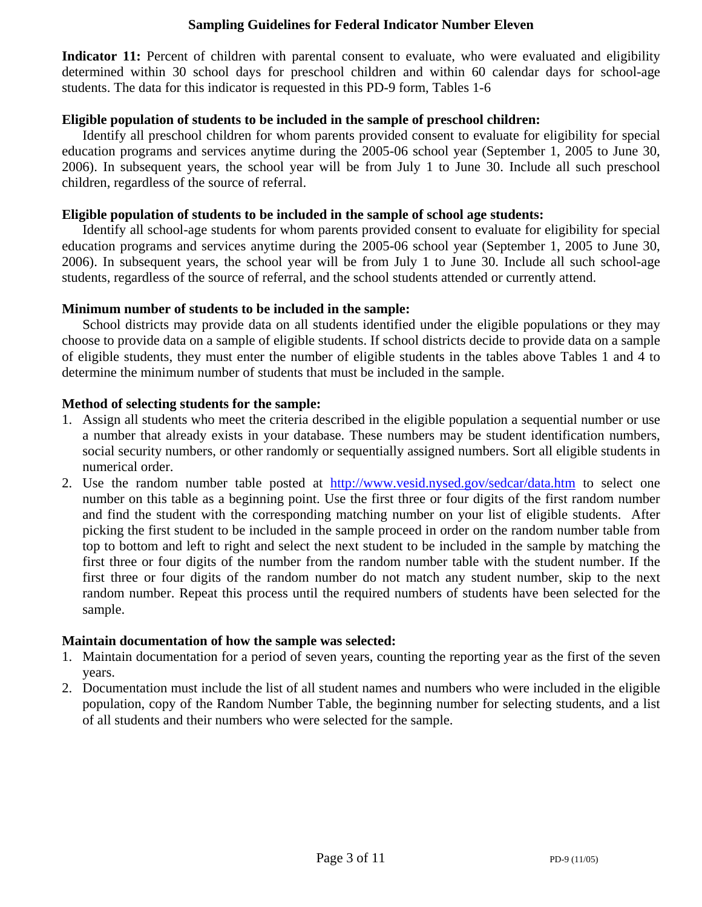# **Sampling Guidelines for Federal Indicator Number Eleven**

Indicator 11: Percent of children with parental consent to evaluate, who were evaluated and eligibility determined within 30 school days for preschool children and within 60 calendar days for school-age students. The data for this indicator is requested in this PD-9 form, Tables 1-6

# **Eligible population of students to be included in the sample of preschool children:**

Identify all preschool children for whom parents provided consent to evaluate for eligibility for special education programs and services anytime during the 2005-06 school year (September 1, 2005 to June 30, 2006). In subsequent years, the school year will be from July 1 to June 30. Include all such preschool children, regardless of the source of referral.

# **Eligible population of students to be included in the sample of school age students:**

Identify all school-age students for whom parents provided consent to evaluate for eligibility for special education programs and services anytime during the 2005-06 school year (September 1, 2005 to June 30, 2006). In subsequent years, the school year will be from July 1 to June 30. Include all such school-age students, regardless of the source of referral, and the school students attended or currently attend.

# **Minimum number of students to be included in the sample:**

School districts may provide data on all students identified under the eligible populations or they may choose to provide data on a sample of eligible students. If school districts decide to provide data on a sample of eligible students, they must enter the number of eligible students in the tables above Tables 1 and 4 to determine the minimum number of students that must be included in the sample.

# **Method of selecting students for the sample:**

- 1. Assign all students who meet the criteria described in the eligible population a sequential number or use a number that already exists in your database. These numbers may be student identification numbers, social security numbers, or other randomly or sequentially assigned numbers. Sort all eligible students in numerical order.
- 2. Use the random number table posted at http://www.vesid.nysed.gov/sedcar/data.htm to select one number on this table as a beginning point. Use the first three or four digits of the first random number and find the student with the corresponding matching number on your list of eligible students. After picking the first student to be included in the sample proceed in order on the random number table from top to bottom and left to right and select the next student to be included in the sample by matching the first three or four digits of the number from the random number table with the student number. If the first three or four digits of the random number do not match any student number, skip to the next random number. Repeat this process until the required numbers of students have been selected for the sample.

### **Maintain documentation of how the sample was selected:**

- 1. Maintain documentation for a period of seven years, counting the reporting year as the first of the seven years.
- 2. Documentation must include the list of all student names and numbers who were included in the eligible population, copy of the Random Number Table, the beginning number for selecting students, and a list of all students and their numbers who were selected for the sample.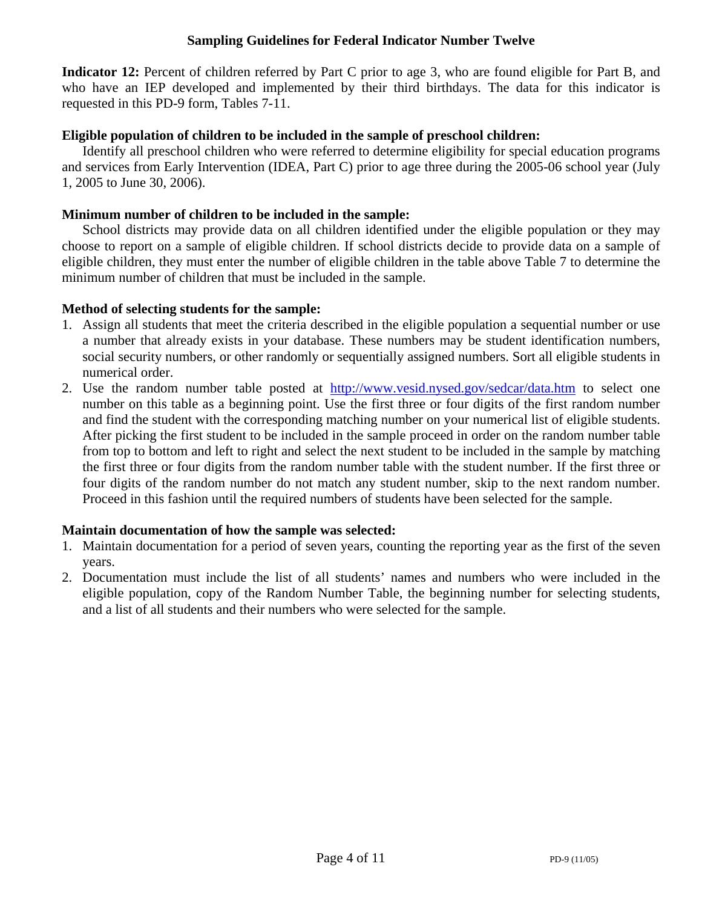# **Sampling Guidelines for Federal Indicator Number Twelve**

**Indicator 12:** Percent of children referred by Part C prior to age 3, who are found eligible for Part B, and who have an IEP developed and implemented by their third birthdays. The data for this indicator is requested in this PD-9 form, Tables 7-11.

# **Eligible population of children to be included in the sample of preschool children:**

Identify all preschool children who were referred to determine eligibility for special education programs and services from Early Intervention (IDEA, Part C) prior to age three during the 2005-06 school year (July 1, 2005 to June 30, 2006).

# **Minimum number of children to be included in the sample:**

School districts may provide data on all children identified under the eligible population or they may choose to report on a sample of eligible children. If school districts decide to provide data on a sample of eligible children, they must enter the number of eligible children in the table above Table 7 to determine the minimum number of children that must be included in the sample.

# **Method of selecting students for the sample:**

- 1. Assign all students that meet the criteria described in the eligible population a sequential number or use a number that already exists in your database. These numbers may be student identification numbers, social security numbers, or other randomly or sequentially assigned numbers. Sort all eligible students in numerical order.
- 2. Use the random number table posted at http://www.vesid.nysed.gov/sedcar/data.htm to select one number on this table as a beginning point. Use the first three or four digits of the first random number and find the student with the corresponding matching number on your numerical list of eligible students. After picking the first student to be included in the sample proceed in order on the random number table from top to bottom and left to right and select the next student to be included in the sample by matching the first three or four digits from the random number table with the student number. If the first three or four digits of the random number do not match any student number, skip to the next random number. Proceed in this fashion until the required numbers of students have been selected for the sample.

### **Maintain documentation of how the sample was selected:**

- 1. Maintain documentation for a period of seven years, counting the reporting year as the first of the seven years.
- 2. Documentation must include the list of all students' names and numbers who were included in the eligible population, copy of the Random Number Table, the beginning number for selecting students, and a list of all students and their numbers who were selected for the sample.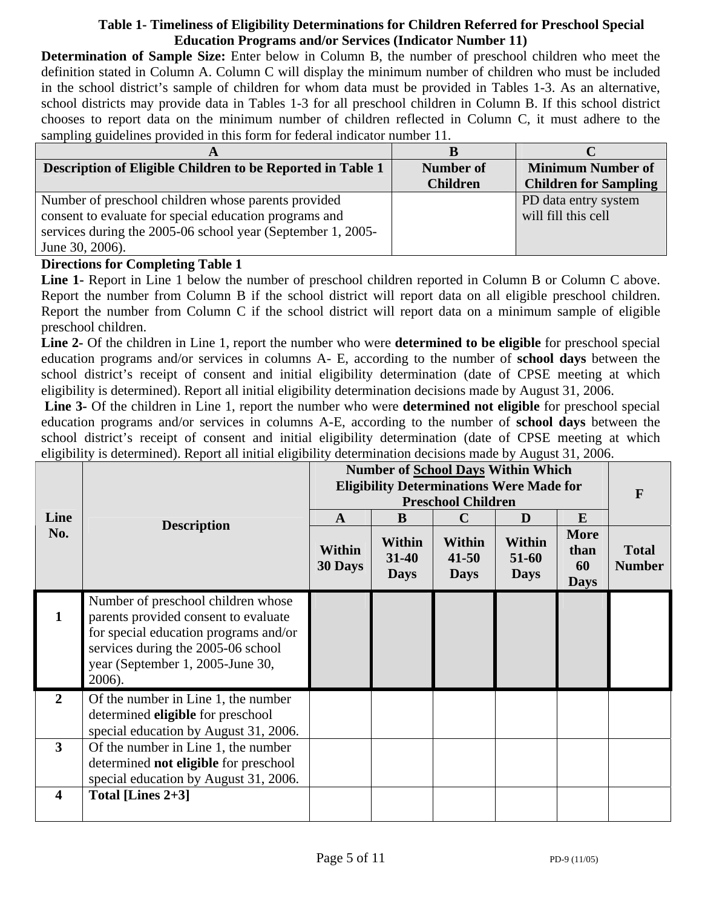# **Table 1- Timeliness of Eligibility Determinations for Children Referred for Preschool Special Education Programs and/or Services (Indicator Number 11)**

**Determination of Sample Size:** Enter below in Column B, the number of preschool children who meet the definition stated in Column A. Column C will display the minimum number of children who must be included in the school district's sample of children for whom data must be provided in Tables 1-3. As an alternative, school districts may provide data in Tables 1-3 for all preschool children in Column B. If this school district chooses to report data on the minimum number of children reflected in Column C, it must adhere to the sampling guidelines provided in this form for federal indicator number 11.

| A                                                           |                  |                              |
|-------------------------------------------------------------|------------------|------------------------------|
| Description of Eligible Children to be Reported in Table 1  | <b>Number of</b> | <b>Minimum Number of</b>     |
|                                                             | <b>Children</b>  | <b>Children for Sampling</b> |
| Number of preschool children whose parents provided         |                  | PD data entry system         |
| consent to evaluate for special education programs and      |                  | will fill this cell          |
| services during the 2005-06 school year (September 1, 2005- |                  |                              |
| June 30, 2006).                                             |                  |                              |

# **Directions for Completing Table 1**

Line 1- Report in Line 1 below the number of preschool children reported in Column B or Column C above. Report the number from Column B if the school district will report data on all eligible preschool children. Report the number from Column C if the school district will report data on a minimum sample of eligible preschool children.

**Line 2-** Of the children in Line 1, report the number who were **determined to be eligible** for preschool special education programs and/or services in columns A- E, according to the number of **school days** between the school district's receipt of consent and initial eligibility determination (date of CPSE meeting at which eligibility is determined). Report all initial eligibility determination decisions made by August 31, 2006.

**Line 3-** Of the children in Line 1, report the number who were **determined not eligible** for preschool special education programs and/or services in columns A-E, according to the number of **school days** between the school district's receipt of consent and initial eligibility determination (date of CPSE meeting at which eligibility is determined). Report all initial eligibility determination decisions made by August 31, 2006.

| Line<br>No.             | <b>Description</b>                                                                                                                                                                                      | $\mathbf{A}$<br>Within<br>30 Days | B<br>Within<br>$31 - 40$<br><b>Days</b> | <b>Number of School Days Within Which</b><br><b>Eligibility Determinations Were Made for</b><br><b>Preschool Children</b><br>$\mathbf C$<br>Within<br>$41 - 50$<br><b>Days</b> | D<br><b>Within</b><br>51-60<br><b>Days</b> | E<br><b>More</b><br>than<br>60<br><b>Days</b> | $\mathbf{F}$<br><b>Total</b><br><b>Number</b> |
|-------------------------|---------------------------------------------------------------------------------------------------------------------------------------------------------------------------------------------------------|-----------------------------------|-----------------------------------------|--------------------------------------------------------------------------------------------------------------------------------------------------------------------------------|--------------------------------------------|-----------------------------------------------|-----------------------------------------------|
|                         | Number of preschool children whose<br>parents provided consent to evaluate<br>for special education programs and/or<br>services during the 2005-06 school<br>year (September 1, 2005-June 30,<br>2006). |                                   |                                         |                                                                                                                                                                                |                                            |                                               |                                               |
| $\overline{2}$          | Of the number in Line 1, the number<br>determined eligible for preschool<br>special education by August 31, 2006.                                                                                       |                                   |                                         |                                                                                                                                                                                |                                            |                                               |                                               |
| 3                       | Of the number in Line 1, the number<br>determined not eligible for preschool<br>special education by August 31, 2006.                                                                                   |                                   |                                         |                                                                                                                                                                                |                                            |                                               |                                               |
| $\overline{\mathbf{4}}$ | Total [Lines $2+3$ ]                                                                                                                                                                                    |                                   |                                         |                                                                                                                                                                                |                                            |                                               |                                               |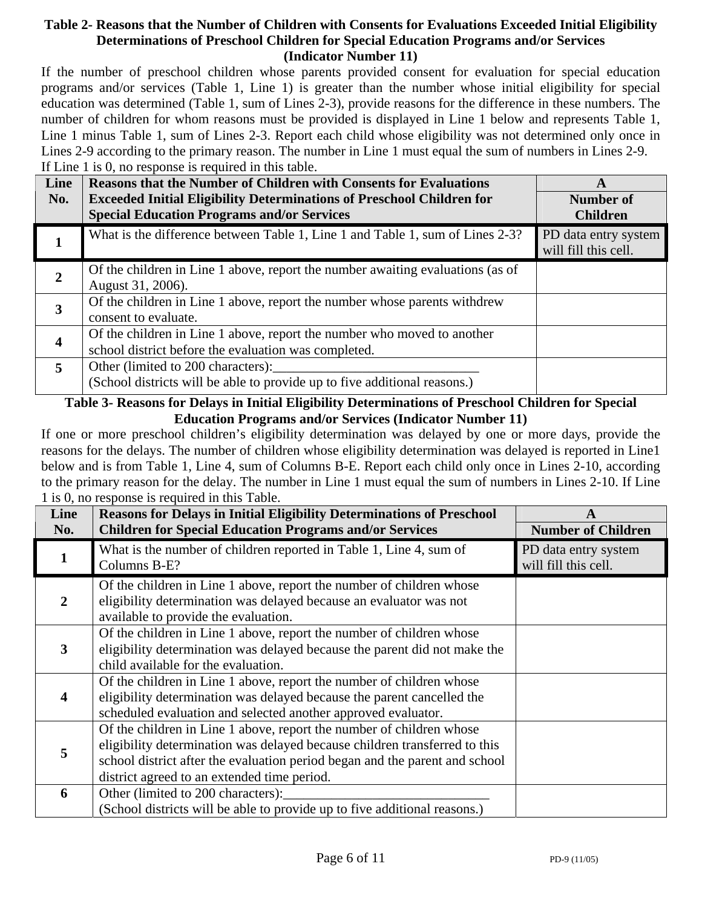# **Table 2- Reasons that the Number of Children with Consents for Evaluations Exceeded Initial Eligibility Determinations of Preschool Children for Special Education Programs and/or Services (Indicator Number 11)**

If the number of preschool children whose parents provided consent for evaluation for special education programs and/or services (Table 1, Line 1) is greater than the number whose initial eligibility for special education was determined (Table 1, sum of Lines 2-3), provide reasons for the difference in these numbers. The number of children for whom reasons must be provided is displayed in Line 1 below and represents Table 1, Line 1 minus Table 1, sum of Lines 2-3. Report each child whose eligibility was not determined only once in Lines 2-9 according to the primary reason. The number in Line 1 must equal the sum of numbers in Lines 2-9. If Line 1 is 0, no response is required in this table.

| Line                    | <b>Reasons that the Number of Children with Consents for Evaluations</b>                                                        | A                                            |
|-------------------------|---------------------------------------------------------------------------------------------------------------------------------|----------------------------------------------|
| No.                     | <b>Exceeded Initial Eligibility Determinations of Preschool Children for</b>                                                    | Number of                                    |
|                         | <b>Special Education Programs and/or Services</b>                                                                               | <b>Children</b>                              |
|                         | What is the difference between Table 1, Line 1 and Table 1, sum of Lines 2-3?                                                   | PD data entry system<br>will fill this cell. |
| 2                       | Of the children in Line 1 above, report the number awaiting evaluations (as of<br>August 31, 2006).                             |                                              |
| $\mathbf{3}$            | Of the children in Line 1 above, report the number whose parents withdrew<br>consent to evaluate.                               |                                              |
| $\overline{\mathbf{4}}$ | Of the children in Line 1 above, report the number who moved to another<br>school district before the evaluation was completed. |                                              |
| $\overline{5}$          | Other (limited to 200 characters):<br>(School districts will be able to provide up to five additional reasons.)                 |                                              |

# **Table 3- Reasons for Delays in Initial Eligibility Determinations of Preschool Children for Special Education Programs and/or Services (Indicator Number 11)**

If one or more preschool children's eligibility determination was delayed by one or more days, provide the reasons for the delays. The number of children whose eligibility determination was delayed is reported in Line1 below and is from Table 1, Line 4, sum of Columns B-E. Report each child only once in Lines 2-10, according to the primary reason for the delay. The number in Line 1 must equal the sum of numbers in Lines 2-10. If Line 1 is 0, no response is required in this Table.

| Line<br>No. | <b>Reasons for Delays in Initial Eligibility Determinations of Preschool</b><br><b>Children for Special Education Programs and/or Services</b>                                                                                                                                   | A<br><b>Number of Children</b>               |
|-------------|----------------------------------------------------------------------------------------------------------------------------------------------------------------------------------------------------------------------------------------------------------------------------------|----------------------------------------------|
| 1           | What is the number of children reported in Table 1, Line 4, sum of<br>Columns B-E?                                                                                                                                                                                               | PD data entry system<br>will fill this cell. |
| 2           | Of the children in Line 1 above, report the number of children whose<br>eligibility determination was delayed because an evaluator was not<br>available to provide the evaluation.                                                                                               |                                              |
| 3           | Of the children in Line 1 above, report the number of children whose<br>eligibility determination was delayed because the parent did not make the<br>child available for the evaluation.                                                                                         |                                              |
| 4           | Of the children in Line 1 above, report the number of children whose<br>eligibility determination was delayed because the parent cancelled the<br>scheduled evaluation and selected another approved evaluator.                                                                  |                                              |
| 5           | Of the children in Line 1 above, report the number of children whose<br>eligibility determination was delayed because children transferred to this<br>school district after the evaluation period began and the parent and school<br>district agreed to an extended time period. |                                              |
| 6           | Other (limited to 200 characters):<br>(School districts will be able to provide up to five additional reasons.)                                                                                                                                                                  |                                              |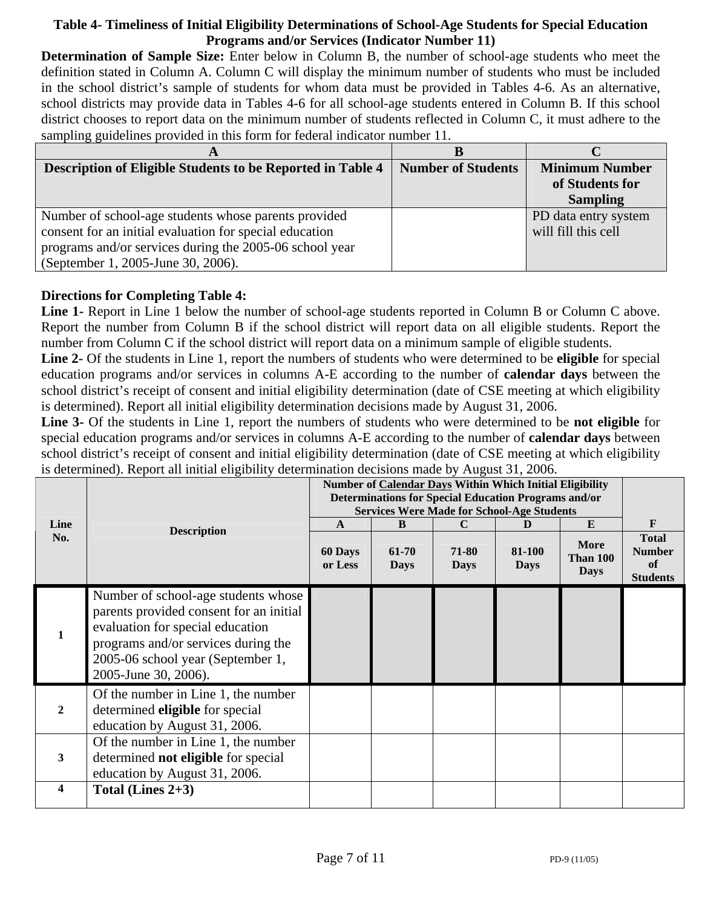# **Table 4- Timeliness of Initial Eligibility Determinations of School-Age Students for Special Education Programs and/or Services (Indicator Number 11)**

**Determination of Sample Size:** Enter below in Column B, the number of school-age students who meet the definition stated in Column A. Column C will display the minimum number of students who must be included in the school district's sample of students for whom data must be provided in Tables 4-6. As an alternative, school districts may provide data in Tables 4-6 for all school-age students entered in Column B. If this school district chooses to report data on the minimum number of students reflected in Column C, it must adhere to the sampling guidelines provided in this form for federal indicator number 11.

| A                                                          |                           |                       |
|------------------------------------------------------------|---------------------------|-----------------------|
| Description of Eligible Students to be Reported in Table 4 | <b>Number of Students</b> | <b>Minimum Number</b> |
|                                                            |                           | of Students for       |
|                                                            |                           | <b>Sampling</b>       |
| Number of school-age students whose parents provided       |                           | PD data entry system  |
| consent for an initial evaluation for special education    |                           | will fill this cell   |
| programs and/or services during the 2005-06 school year    |                           |                       |
| (September 1, 2005-June 30, 2006).                         |                           |                       |

# **Directions for Completing Table 4:**

Line 1- Report in Line 1 below the number of school-age students reported in Column B or Column C above. Report the number from Column B if the school district will report data on all eligible students. Report the number from Column C if the school district will report data on a minimum sample of eligible students.

**Line 2-** Of the students in Line 1, report the numbers of students who were determined to be **eligible** for special education programs and/or services in columns A-E according to the number of **calendar days** between the school district's receipt of consent and initial eligibility determination (date of CSE meeting at which eligibility is determined). Report all initial eligibility determination decisions made by August 31, 2006.

**Line 3-** Of the students in Line 1, report the numbers of students who were determined to be **not eligible** for special education programs and/or services in columns A-E according to the number of **calendar days** between school district's receipt of consent and initial eligibility determination (date of CSE meeting at which eligibility is determined). Report all initial eligibility determination decisions made by August 31, 2006.

| Line                    |                                                                                                                                                                                                                        | Number of Calendar Days Within Which Initial Eligibility<br><b>Determinations for Special Education Programs and/or</b><br><b>Services Were Made for School-Age Students</b><br>A | F                         |                           |                       |                                                    |                                                        |
|-------------------------|------------------------------------------------------------------------------------------------------------------------------------------------------------------------------------------------------------------------|-----------------------------------------------------------------------------------------------------------------------------------------------------------------------------------|---------------------------|---------------------------|-----------------------|----------------------------------------------------|--------------------------------------------------------|
| No.                     | <b>Description</b>                                                                                                                                                                                                     | 60 Days<br>or Less                                                                                                                                                                | B<br>61-70<br><b>Days</b> | C<br>71-80<br><b>Days</b> | 81-100<br><b>Days</b> | $\bf{E}$<br><b>More</b><br>Than 100<br><b>Days</b> | <b>Total</b><br><b>Number</b><br>of<br><b>Students</b> |
|                         | Number of school-age students whose<br>parents provided consent for an initial<br>evaluation for special education<br>programs and/or services during the<br>2005-06 school year (September 1,<br>2005-June 30, 2006). |                                                                                                                                                                                   |                           |                           |                       |                                                    |                                                        |
| $\mathbf{2}$            | Of the number in Line 1, the number<br>determined eligible for special<br>education by August 31, 2006.                                                                                                                |                                                                                                                                                                                   |                           |                           |                       |                                                    |                                                        |
| 3                       | Of the number in Line 1, the number<br>determined not eligible for special<br>education by August 31, 2006.                                                                                                            |                                                                                                                                                                                   |                           |                           |                       |                                                    |                                                        |
| $\overline{\mathbf{4}}$ | Total (Lines $2+3$ )                                                                                                                                                                                                   |                                                                                                                                                                                   |                           |                           |                       |                                                    |                                                        |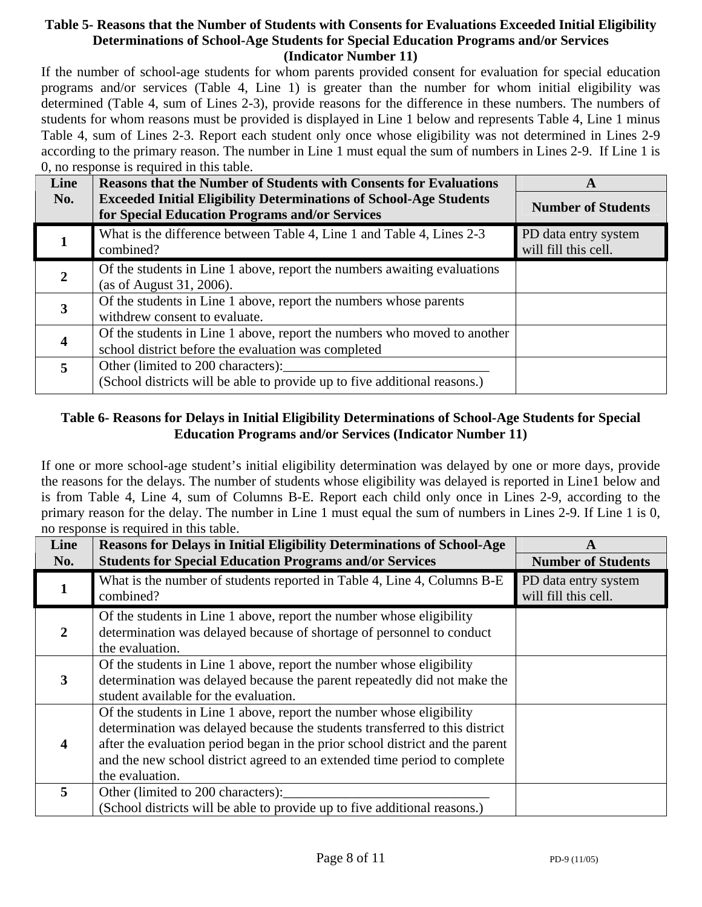# **Table 5- Reasons that the Number of Students with Consents for Evaluations Exceeded Initial Eligibility Determinations of School-Age Students for Special Education Programs and/or Services (Indicator Number 11)**

If the number of school-age students for whom parents provided consent for evaluation for special education programs and/or services (Table 4, Line 1) is greater than the number for whom initial eligibility was determined (Table 4, sum of Lines 2-3), provide reasons for the difference in these numbers. The numbers of students for whom reasons must be provided is displayed in Line 1 below and represents Table 4, Line 1 minus Table 4, sum of Lines 2-3. Report each student only once whose eligibility was not determined in Lines 2-9 according to the primary reason. The number in Line 1 must equal the sum of numbers in Lines 2-9. If Line 1 is 0, no response is required in this table.

| Line | <b>Reasons that the Number of Students with Consents for Evaluations</b>                                                        | A                                            |
|------|---------------------------------------------------------------------------------------------------------------------------------|----------------------------------------------|
| No.  | <b>Exceeded Initial Eligibility Determinations of School-Age Students</b><br>for Special Education Programs and/or Services     | <b>Number of Students</b>                    |
|      | What is the difference between Table 4, Line 1 and Table 4, Lines 2-3<br>combined?                                              | PD data entry system<br>will fill this cell. |
| 2    | Of the students in Line 1 above, report the numbers awaiting evaluations<br>(as of August 31, 2006).                            |                                              |
| 3    | Of the students in Line 1 above, report the numbers whose parents<br>withdrew consent to evaluate.                              |                                              |
| 4    | Of the students in Line 1 above, report the numbers who moved to another<br>school district before the evaluation was completed |                                              |
| 5    | Other (limited to 200 characters):<br>(School districts will be able to provide up to five additional reasons.)                 |                                              |

# **Table 6- Reasons for Delays in Initial Eligibility Determinations of School-Age Students for Special Education Programs and/or Services (Indicator Number 11)**

If one or more school-age student's initial eligibility determination was delayed by one or more days, provide the reasons for the delays. The number of students whose eligibility was delayed is reported in Line1 below and is from Table 4, Line 4, sum of Columns B-E. Report each child only once in Lines 2-9, according to the primary reason for the delay. The number in Line 1 must equal the sum of numbers in Lines 2-9. If Line 1 is 0, no response is required in this table.

| Line<br>No. | <b>Reasons for Delays in Initial Eligibility Determinations of School-Age</b><br><b>Students for Special Education Programs and/or Services</b>                                                                                                                                                                                      | A<br><b>Number of Students</b>               |
|-------------|--------------------------------------------------------------------------------------------------------------------------------------------------------------------------------------------------------------------------------------------------------------------------------------------------------------------------------------|----------------------------------------------|
|             | What is the number of students reported in Table 4, Line 4, Columns B-E<br>combined?                                                                                                                                                                                                                                                 | PD data entry system<br>will fill this cell. |
| 2           | Of the students in Line 1 above, report the number whose eligibility<br>determination was delayed because of shortage of personnel to conduct<br>the evaluation.                                                                                                                                                                     |                                              |
| 3           | Of the students in Line 1 above, report the number whose eligibility<br>determination was delayed because the parent repeatedly did not make the<br>student available for the evaluation.                                                                                                                                            |                                              |
| 4           | Of the students in Line 1 above, report the number whose eligibility<br>determination was delayed because the students transferred to this district<br>after the evaluation period began in the prior school district and the parent<br>and the new school district agreed to an extended time period to complete<br>the evaluation. |                                              |
| 5           | Other (limited to 200 characters):<br>(School districts will be able to provide up to five additional reasons.)                                                                                                                                                                                                                      |                                              |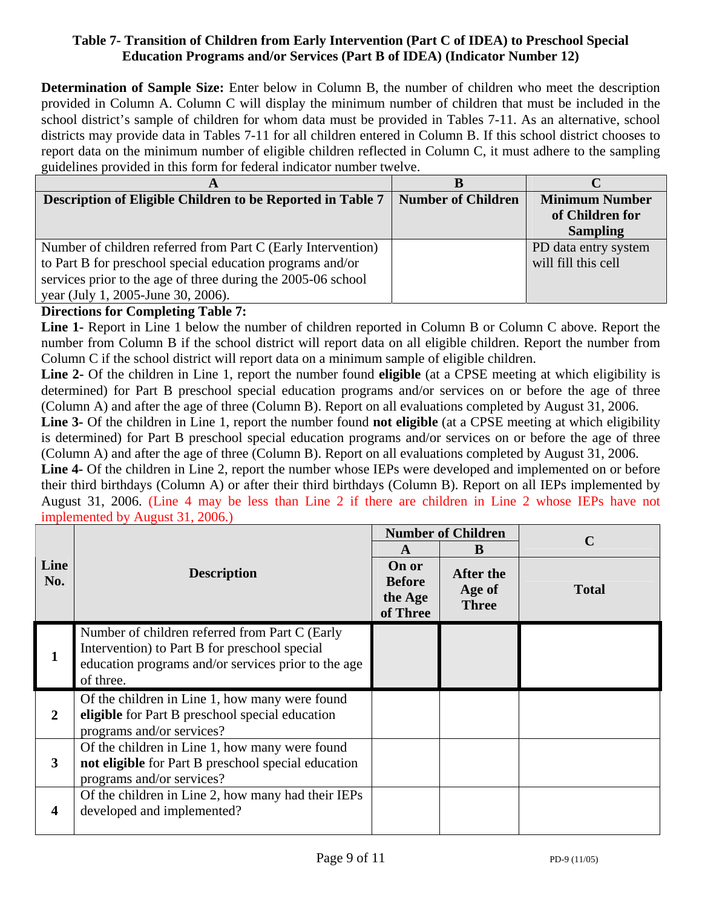# **Table 7- Transition of Children from Early Intervention (Part C of IDEA) to Preschool Special Education Programs and/or Services (Part B of IDEA) (Indicator Number 12)**

**Determination of Sample Size:** Enter below in Column B, the number of children who meet the description provided in Column A. Column C will display the minimum number of children that must be included in the school district's sample of children for whom data must be provided in Tables 7-11. As an alternative, school districts may provide data in Tables 7-11 for all children entered in Column B. If this school district chooses to report data on the minimum number of eligible children reflected in Column C, it must adhere to the sampling guidelines provided in this form for federal indicator number twelve.

| A                                                            |                           |                       |
|--------------------------------------------------------------|---------------------------|-----------------------|
| Description of Eligible Children to be Reported in Table 7   | <b>Number of Children</b> | <b>Minimum Number</b> |
|                                                              |                           | of Children for       |
|                                                              |                           | <b>Sampling</b>       |
| Number of children referred from Part C (Early Intervention) |                           | PD data entry system  |
| to Part B for preschool special education programs and/or    |                           | will fill this cell   |
| services prior to the age of three during the 2005-06 school |                           |                       |
| year (July 1, 2005-June 30, 2006).                           |                           |                       |

# **Directions for Completing Table 7:**

**Line 1-** Report in Line 1 below the number of children reported in Column B or Column C above. Report the number from Column B if the school district will report data on all eligible children. Report the number from Column C if the school district will report data on a minimum sample of eligible children.

**Line 2-** Of the children in Line 1, report the number found **eligible** (at a CPSE meeting at which eligibility is determined) for Part B preschool special education programs and/or services on or before the age of three (Column A) and after the age of three (Column B). Report on all evaluations completed by August 31, 2006.

**Line 3-** Of the children in Line 1, report the number found **not eligible** (at a CPSE meeting at which eligibility is determined) for Part B preschool special education programs and/or services on or before the age of three (Column A) and after the age of three (Column B). Report on all evaluations completed by August 31, 2006.

**Line 4-** Of the children in Line 2, report the number whose IEPs were developed and implemented on or before their third birthdays (Column A) or after their third birthdays (Column B). Report on all IEPs implemented by August 31, 2006. (Line 4 may be less than Line 2 if there are children in Line 2 whose IEPs have not implemented by August 31, 2006.)

|                         |                                                                                                                                                                     |                                               | <b>Number of Children</b>           | $\mathbf C$  |  |
|-------------------------|---------------------------------------------------------------------------------------------------------------------------------------------------------------------|-----------------------------------------------|-------------------------------------|--------------|--|
|                         |                                                                                                                                                                     | A                                             | B                                   |              |  |
| Line<br>No.             | <b>Description</b>                                                                                                                                                  | On or<br><b>Before</b><br>the Age<br>of Three | After the<br>Age of<br><b>Three</b> | <b>Total</b> |  |
|                         | Number of children referred from Part C (Early<br>Intervention) to Part B for preschool special<br>education programs and/or services prior to the age<br>of three. |                                               |                                     |              |  |
| $\overline{2}$          | Of the children in Line 1, how many were found<br>eligible for Part B preschool special education<br>programs and/or services?                                      |                                               |                                     |              |  |
| 3                       | Of the children in Line 1, how many were found<br>not eligible for Part B preschool special education<br>programs and/or services?                                  |                                               |                                     |              |  |
| $\overline{\mathbf{4}}$ | Of the children in Line 2, how many had their IEPs<br>developed and implemented?                                                                                    |                                               |                                     |              |  |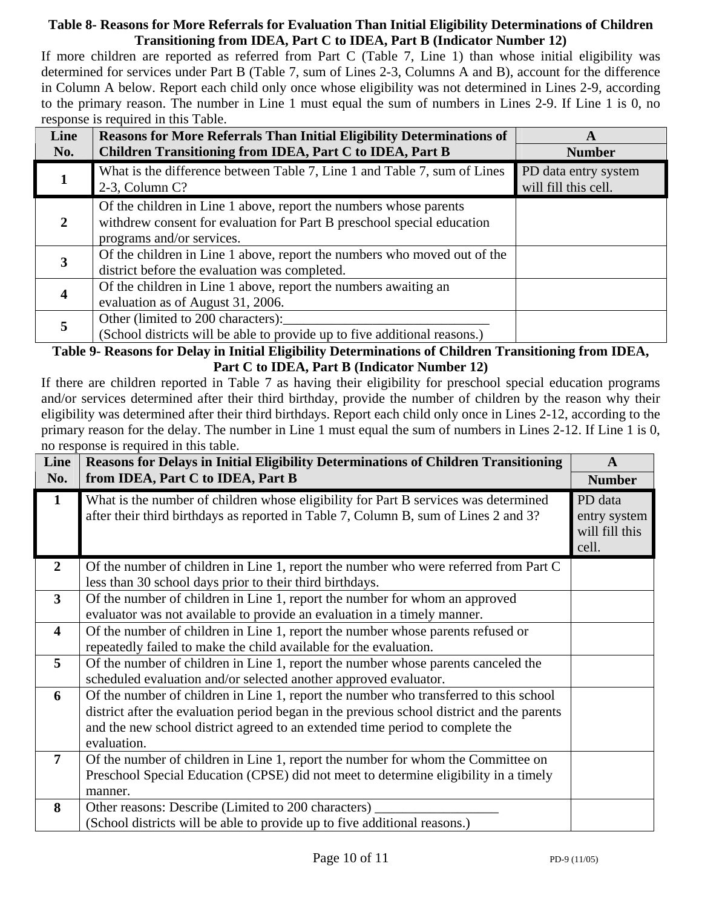# **Table 8- Reasons for More Referrals for Evaluation Than Initial Eligibility Determinations of Children Transitioning from IDEA, Part C to IDEA, Part B (Indicator Number 12)**

If more children are reported as referred from Part C (Table 7, Line 1) than whose initial eligibility was determined for services under Part B (Table 7, sum of Lines 2-3, Columns A and B), account for the difference in Column A below. Report each child only once whose eligibility was not determined in Lines 2-9, according to the primary reason. The number in Line 1 must equal the sum of numbers in Lines 2-9. If Line 1 is 0, no response is required in this Table.

| Line<br>No. | <b>Reasons for More Referrals Than Initial Eligibility Determinations of</b><br>Children Transitioning from IDEA, Part C to IDEA, Part B                                 | A<br><b>Number</b>                           |
|-------------|--------------------------------------------------------------------------------------------------------------------------------------------------------------------------|----------------------------------------------|
|             | What is the difference between Table 7, Line 1 and Table 7, sum of Lines<br>$2-3$ , Column C?                                                                            | PD data entry system<br>will fill this cell. |
|             | Of the children in Line 1 above, report the numbers whose parents<br>withdrew consent for evaluation for Part B preschool special education<br>programs and/or services. |                                              |
| 3           | Of the children in Line 1 above, report the numbers who moved out of the<br>district before the evaluation was completed.                                                |                                              |
| 4           | Of the children in Line 1 above, report the numbers awaiting an<br>evaluation as of August 31, 2006.                                                                     |                                              |
| 5           | Other (limited to 200 characters):<br>(School districts will be able to provide up to five additional reasons.)                                                          |                                              |

# **Table 9- Reasons for Delay in Initial Eligibility Determinations of Children Transitioning from IDEA, Part C to IDEA, Part B (Indicator Number 12)**

If there are children reported in Table 7 as having their eligibility for preschool special education programs and/or services determined after their third birthday, provide the number of children by the reason why their eligibility was determined after their third birthdays. Report each child only once in Lines 2-12, according to the primary reason for the delay. The number in Line 1 must equal the sum of numbers in Lines 2-12. If Line 1 is 0, no response is required in this table.

| Line                    | Reasons for Delays in Initial Eligibility Determinations of Children Transitioning                                                                                                                                                                                                  | $\mathbf{A}$                                       |
|-------------------------|-------------------------------------------------------------------------------------------------------------------------------------------------------------------------------------------------------------------------------------------------------------------------------------|----------------------------------------------------|
| No.                     | from IDEA, Part C to IDEA, Part B                                                                                                                                                                                                                                                   | <b>Number</b>                                      |
| $\mathbf{1}$            | What is the number of children whose eligibility for Part B services was determined<br>after their third birthdays as reported in Table 7, Column B, sum of Lines 2 and 3?                                                                                                          | PD data<br>entry system<br>will fill this<br>cell. |
| $\overline{2}$          | Of the number of children in Line 1, report the number who were referred from Part C<br>less than 30 school days prior to their third birthdays.                                                                                                                                    |                                                    |
| 3                       | Of the number of children in Line 1, report the number for whom an approved<br>evaluator was not available to provide an evaluation in a timely manner.                                                                                                                             |                                                    |
| $\overline{\mathbf{4}}$ | Of the number of children in Line 1, report the number whose parents refused or<br>repeatedly failed to make the child available for the evaluation.                                                                                                                                |                                                    |
| $\overline{5}$          | Of the number of children in Line 1, report the number whose parents canceled the<br>scheduled evaluation and/or selected another approved evaluator.                                                                                                                               |                                                    |
| 6                       | Of the number of children in Line 1, report the number who transferred to this school<br>district after the evaluation period began in the previous school district and the parents<br>and the new school district agreed to an extended time period to complete the<br>evaluation. |                                                    |
| $\overline{7}$          | Of the number of children in Line 1, report the number for whom the Committee on<br>Preschool Special Education (CPSE) did not meet to determine eligibility in a timely<br>manner.                                                                                                 |                                                    |
| 8                       | Other reasons: Describe (Limited to 200 characters)<br>(School districts will be able to provide up to five additional reasons.)                                                                                                                                                    |                                                    |